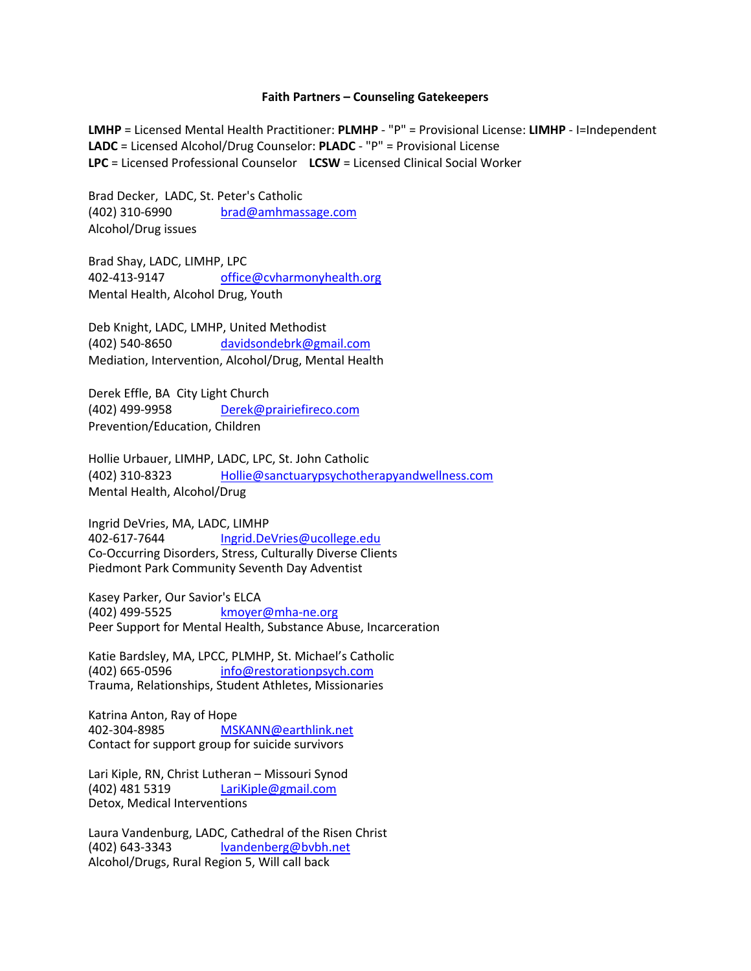## **Faith Partners – Counseling Gatekeepers**

**LMHP** = Licensed Mental Health Practitioner: **PLMHP** - "P" = Provisional License: **LIMHP** - I=Independent **LADC** = Licensed Alcohol/Drug Counselor: **PLADC** - "P" = Provisional License **LPC** = Licensed Professional Counselor **LCSW** = Licensed Clinical Social Worker

Brad Decker, LADC, St. Peter's Catholic (402) 310-6990 brad@amhmassage.com Alcohol/Drug issues

Brad Shay, LADC, LIMHP, LPC 402-413-9147 office@cvharmonyhealth.org Mental Health, Alcohol Drug, Youth

Deb Knight, LADC, LMHP, United Methodist (402) 540-8650 davidsondebrk@gmail.com Mediation, Intervention, Alcohol/Drug, Mental Health

Derek Effle, BA City Light Church (402) 499-9958 Derek@prairiefireco.com Prevention/Education, Children

Hollie Urbauer, LIMHP, LADC, LPC, St. John Catholic (402) 310-8323 Hollie@sanctuarypsychotherapyandwellness.com Mental Health, Alcohol/Drug

Ingrid DeVries, MA, LADC, LIMHP 402-617-7644 Ingrid.DeVries@ucollege.edu Co-Occurring Disorders, Stress, Culturally Diverse Clients Piedmont Park Community Seventh Day Adventist

Kasey Parker, Our Savior's ELCA (402) 499-5525 kmoyer@mha-ne.org Peer Support for Mental Health, Substance Abuse, Incarceration

Katie Bardsley, MA, LPCC, PLMHP, St. Michael's Catholic (402) 665-0596 info@restorationpsych.com Trauma, Relationships, Student Athletes, Missionaries

Katrina Anton, Ray of Hope 402-304-8985 MSKANN@earthlink.net Contact for support group for suicide survivors

Lari Kiple, RN, Christ Lutheran – Missouri Synod (402) 481 5319 LariKiple@gmail.com Detox, Medical Interventions

Laura Vandenburg, LADC, Cathedral of the Risen Christ (402) 643-3343 lvandenberg@bvbh.net Alcohol/Drugs, Rural Region 5, Will call back